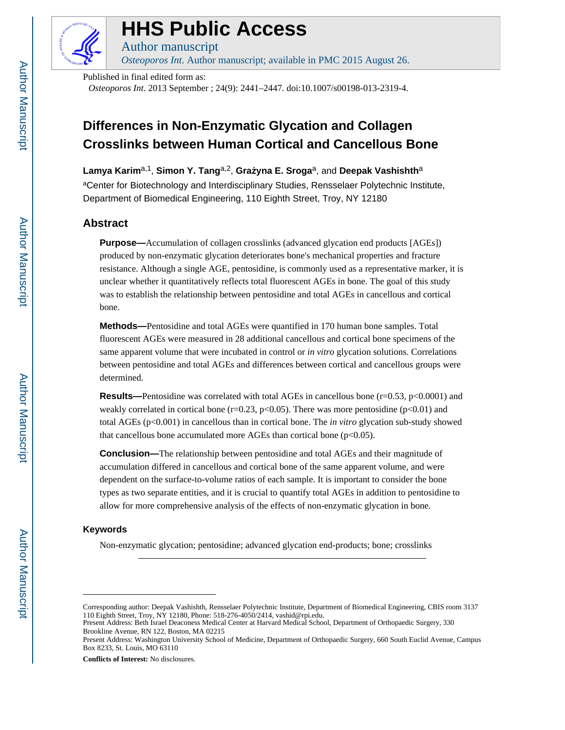

# **HHS Public Access**

Author manuscript *Osteoporos Int*. Author manuscript; available in PMC 2015 August 26.

Published in final edited form as:

*Osteoporos Int*. 2013 September ; 24(9): 2441–2447. doi:10.1007/s00198-013-2319-4.

# **Differences in Non-Enzymatic Glycation and Collagen Crosslinks between Human Cortical and Cancellous Bone**

Lamya Karim<sup>a,1</sup>, Simon Y. Tang<sup>a,2</sup>, Gra yna E. Sroga<sup>a</sup>, and Deepak Vashishth<sup>a</sup>

aCenter for Biotechnology and Interdisciplinary Studies, Rensselaer Polytechnic Institute, Department of Biomedical Engineering, 110 Eighth Street, Troy, NY 12180

# **Abstract**

**Purpose—**Accumulation of collagen crosslinks (advanced glycation end products [AGEs]) produced by non-enzymatic glycation deteriorates bone's mechanical properties and fracture resistance. Although a single AGE, pentosidine, is commonly used as a representative marker, it is unclear whether it quantitatively reflects total fluorescent AGEs in bone. The goal of this study was to establish the relationship between pentosidine and total AGEs in cancellous and cortical bone.

**Methods—**Pentosidine and total AGEs were quantified in 170 human bone samples. Total fluorescent AGEs were measured in 28 additional cancellous and cortical bone specimens of the same apparent volume that were incubated in control or *in vitro* glycation solutions. Correlations between pentosidine and total AGEs and differences between cortical and cancellous groups were determined.

**Results—**Pentosidine was correlated with total AGEs in cancellous bone (r=0.53, p<0.0001) and weakly correlated in cortical bone ( $r=0.23$ ,  $p<0.05$ ). There was more pentosidine ( $p<0.01$ ) and total AGEs (p<0.001) in cancellous than in cortical bone. The *in vitro* glycation sub-study showed that cancellous bone accumulated more AGEs than cortical bone  $(p<0.05)$ .

**Conclusion—**The relationship between pentosidine and total AGEs and their magnitude of accumulation differed in cancellous and cortical bone of the same apparent volume, and were dependent on the surface-to-volume ratios of each sample. It is important to consider the bone types as two separate entities, and it is crucial to quantify total AGEs in addition to pentosidine to allow for more comprehensive analysis of the effects of non-enzymatic glycation in bone.

#### **Keywords**

Non-enzymatic glycation; pentosidine; advanced glycation end-products; bone; crosslinks

**Conflicts of Interest:** No disclosures.

Corresponding author: Deepak Vashishth, Rensselaer Polytechnic Institute, Department of Biomedical Engineering, CBIS room 3137 110 Eighth Street, Troy, NY 12180, Phone: 518-276-4050/2414, vashid@rpi.edu.

Present Address: Beth Israel Deaconess Medical Center at Harvard Medical School, Department of Orthopaedic Surgery, 330 Brookline Avenue, RN 122, Boston, MA 02215

Present Address: Washington University School of Medicine, Department of Orthopaedic Surgery, 660 South Euclid Avenue, Campus Box 8233, St. Louis, MO 63110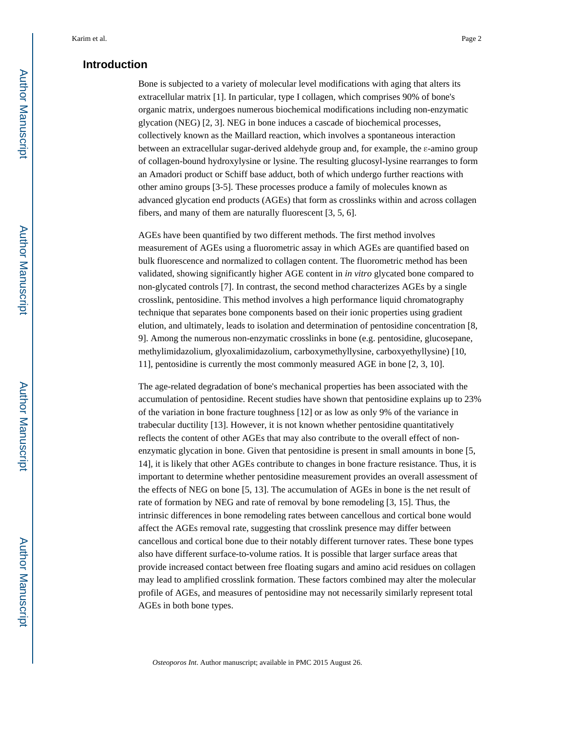# **Introduction**

Bone is subjected to a variety of molecular level modifications with aging that alters its extracellular matrix [1]. In particular, type I collagen, which comprises 90% of bone's organic matrix, undergoes numerous biochemical modifications including non-enzymatic glycation (NEG) [2, 3]. NEG in bone induces a cascade of biochemical processes, collectively known as the Maillard reaction, which involves a spontaneous interaction between an extracellular sugar-derived aldehyde group and, for example, the ε-amino group of collagen-bound hydroxylysine or lysine. The resulting glucosyl-lysine rearranges to form an Amadori product or Schiff base adduct, both of which undergo further reactions with other amino groups [3-5]. These processes produce a family of molecules known as advanced glycation end products (AGEs) that form as crosslinks within and across collagen fibers, and many of them are naturally fluorescent [3, 5, 6].

AGEs have been quantified by two different methods. The first method involves measurement of AGEs using a fluorometric assay in which AGEs are quantified based on bulk fluorescence and normalized to collagen content. The fluorometric method has been validated, showing significantly higher AGE content in *in vitro* glycated bone compared to non-glycated controls [7]. In contrast, the second method characterizes AGEs by a single crosslink, pentosidine. This method involves a high performance liquid chromatography technique that separates bone components based on their ionic properties using gradient elution, and ultimately, leads to isolation and determination of pentosidine concentration [8, 9]. Among the numerous non-enzymatic crosslinks in bone (e.g. pentosidine, glucosepane, methylimidazolium, glyoxalimidazolium, carboxymethyllysine, carboxyethyllysine) [10, 11], pentosidine is currently the most commonly measured AGE in bone [2, 3, 10].

The age-related degradation of bone's mechanical properties has been associated with the accumulation of pentosidine. Recent studies have shown that pentosidine explains up to 23% of the variation in bone fracture toughness [12] or as low as only 9% of the variance in trabecular ductility [13]. However, it is not known whether pentosidine quantitatively reflects the content of other AGEs that may also contribute to the overall effect of nonenzymatic glycation in bone. Given that pentosidine is present in small amounts in bone [5, 14], it is likely that other AGEs contribute to changes in bone fracture resistance. Thus, it is important to determine whether pentosidine measurement provides an overall assessment of the effects of NEG on bone [5, 13]. The accumulation of AGEs in bone is the net result of rate of formation by NEG and rate of removal by bone remodeling [3, 15]. Thus, the intrinsic differences in bone remodeling rates between cancellous and cortical bone would affect the AGEs removal rate, suggesting that crosslink presence may differ between cancellous and cortical bone due to their notably different turnover rates. These bone types also have different surface-to-volume ratios. It is possible that larger surface areas that provide increased contact between free floating sugars and amino acid residues on collagen may lead to amplified crosslink formation. These factors combined may alter the molecular profile of AGEs, and measures of pentosidine may not necessarily similarly represent total AGEs in both bone types.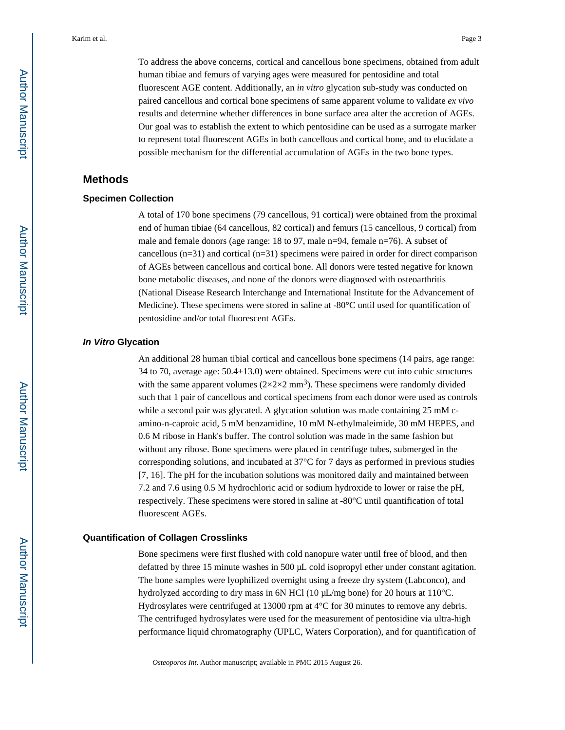To address the above concerns, cortical and cancellous bone specimens, obtained from adult human tibiae and femurs of varying ages were measured for pentosidine and total fluorescent AGE content. Additionally, an *in vitro* glycation sub-study was conducted on paired cancellous and cortical bone specimens of same apparent volume to validate *ex vivo*  results and determine whether differences in bone surface area alter the accretion of AGEs. Our goal was to establish the extent to which pentosidine can be used as a surrogate marker to represent total fluorescent AGEs in both cancellous and cortical bone, and to elucidate a possible mechanism for the differential accumulation of AGEs in the two bone types.

# **Methods**

#### **Specimen Collection**

A total of 170 bone specimens (79 cancellous, 91 cortical) were obtained from the proximal end of human tibiae (64 cancellous, 82 cortical) and femurs (15 cancellous, 9 cortical) from male and female donors (age range: 18 to 97, male n=94, female n=76). A subset of cancellous (n=31) and cortical (n=31) specimens were paired in order for direct comparison of AGEs between cancellous and cortical bone. All donors were tested negative for known bone metabolic diseases, and none of the donors were diagnosed with osteoarthritis (National Disease Research Interchange and International Institute for the Advancement of Medicine). These specimens were stored in saline at -80°C until used for quantification of pentosidine and/or total fluorescent AGEs.

#### **In Vitro Glycation**

An additional 28 human tibial cortical and cancellous bone specimens (14 pairs, age range: 34 to 70, average age: 50.4±13.0) were obtained. Specimens were cut into cubic structures with the same apparent volumes  $(2\times2\times2 \text{ mm}^3)$ . These specimens were randomly divided such that 1 pair of cancellous and cortical specimens from each donor were used as controls while a second pair was glycated. A glycation solution was made containing 25 mM εamino-n-caproic acid, 5 mM benzamidine, 10 mM N-ethylmaleimide, 30 mM HEPES, and 0.6 M ribose in Hank's buffer. The control solution was made in the same fashion but without any ribose. Bone specimens were placed in centrifuge tubes, submerged in the corresponding solutions, and incubated at 37°C for 7 days as performed in previous studies [7, 16]. The pH for the incubation solutions was monitored daily and maintained between 7.2 and 7.6 using 0.5 M hydrochloric acid or sodium hydroxide to lower or raise the pH, respectively. These specimens were stored in saline at -80°C until quantification of total fluorescent AGEs.

#### **Quantification of Collagen Crosslinks**

Bone specimens were first flushed with cold nanopure water until free of blood, and then defatted by three 15 minute washes in 500 μL cold isopropyl ether under constant agitation. The bone samples were lyophilized overnight using a freeze dry system (Labconco), and hydrolyzed according to dry mass in 6N HCl (10 μL/mg bone) for 20 hours at 110°C. Hydrosylates were centrifuged at 13000 rpm at 4°C for 30 minutes to remove any debris. The centrifuged hydrosylates were used for the measurement of pentosidine via ultra-high performance liquid chromatography (UPLC, Waters Corporation), and for quantification of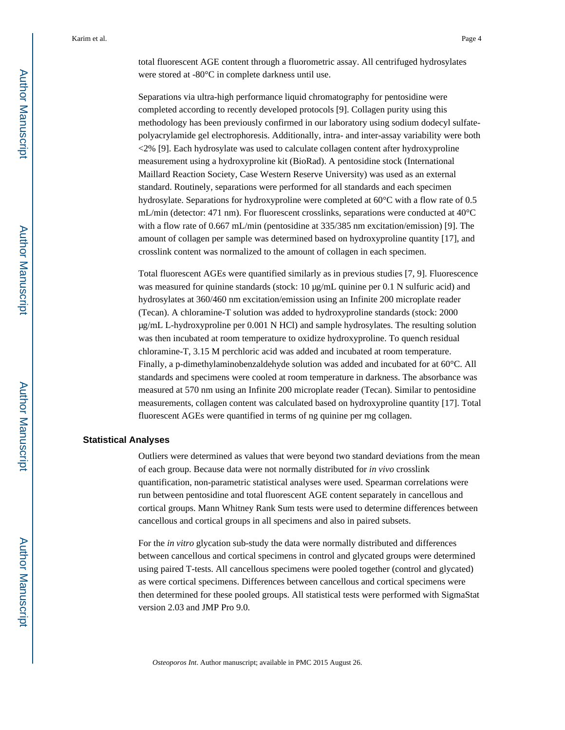total fluorescent AGE content through a fluorometric assay. All centrifuged hydrosylates were stored at -80°C in complete darkness until use.

Separations via ultra-high performance liquid chromatography for pentosidine were completed according to recently developed protocols [9]. Collagen purity using this methodology has been previously confirmed in our laboratory using sodium dodecyl sulfatepolyacrylamide gel electrophoresis. Additionally, intra- and inter-assay variability were both <2% [9]. Each hydrosylate was used to calculate collagen content after hydroxyproline measurement using a hydroxyproline kit (BioRad). A pentosidine stock (International Maillard Reaction Society, Case Western Reserve University) was used as an external standard. Routinely, separations were performed for all standards and each specimen hydrosylate. Separations for hydroxyproline were completed at 60°C with a flow rate of 0.5 mL/min (detector: 471 nm). For fluorescent crosslinks, separations were conducted at 40°C with a flow rate of 0.667 mL/min (pentosidine at 335/385 nm excitation/emission) [9]. The amount of collagen per sample was determined based on hydroxyproline quantity [17], and crosslink content was normalized to the amount of collagen in each specimen.

Total fluorescent AGEs were quantified similarly as in previous studies [7, 9]. Fluorescence was measured for quinine standards (stock: 10 μg/mL quinine per 0.1 N sulfuric acid) and hydrosylates at 360/460 nm excitation/emission using an Infinite 200 microplate reader (Tecan). A chloramine-T solution was added to hydroxyproline standards (stock: 2000 μg/mL L-hydroxyproline per 0.001 N HCl) and sample hydrosylates. The resulting solution was then incubated at room temperature to oxidize hydroxyproline. To quench residual chloramine-T, 3.15 M perchloric acid was added and incubated at room temperature. Finally, a p-dimethylaminobenzaldehyde solution was added and incubated for at 60°C. All standards and specimens were cooled at room temperature in darkness. The absorbance was measured at 570 nm using an Infinite 200 microplate reader (Tecan). Similar to pentosidine measurements, collagen content was calculated based on hydroxyproline quantity [17]. Total fluorescent AGEs were quantified in terms of ng quinine per mg collagen.

#### **Statistical Analyses**

Outliers were determined as values that were beyond two standard deviations from the mean of each group. Because data were not normally distributed for *in vivo* crosslink quantification, non-parametric statistical analyses were used. Spearman correlations were run between pentosidine and total fluorescent AGE content separately in cancellous and cortical groups. Mann Whitney Rank Sum tests were used to determine differences between cancellous and cortical groups in all specimens and also in paired subsets.

For the *in vitro* glycation sub-study the data were normally distributed and differences between cancellous and cortical specimens in control and glycated groups were determined using paired T-tests. All cancellous specimens were pooled together (control and glycated) as were cortical specimens. Differences between cancellous and cortical specimens were then determined for these pooled groups. All statistical tests were performed with SigmaStat version 2.03 and JMP Pro 9.0.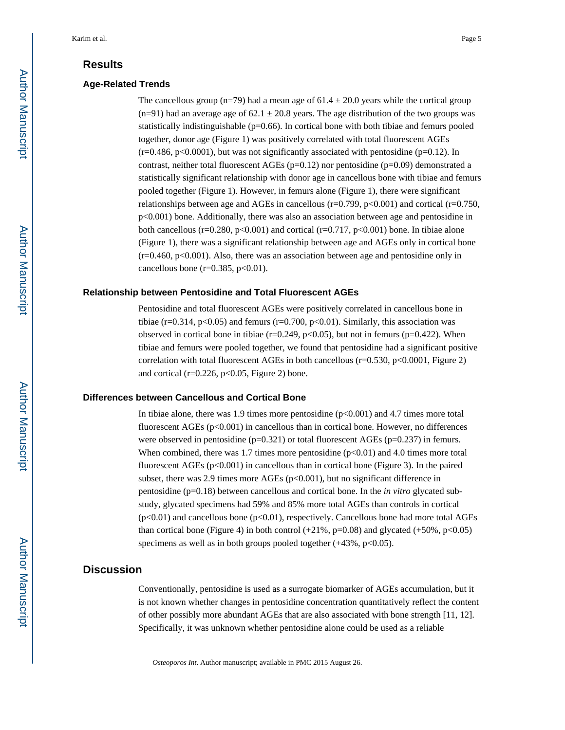# **Results**

#### **Age-Related Trends**

The cancellous group (n=79) had a mean age of  $61.4 \pm 20.0$  years while the cortical group  $(n=91)$  had an average age of 62.1  $\pm$  20.8 years. The age distribution of the two groups was statistically indistinguishable  $(p=0.66)$ . In cortical bone with both tibiae and femurs pooled together, donor age (Figure 1) was positively correlated with total fluorescent AGEs  $(r=0.486, p<0.0001)$ , but was not significantly associated with pentosidine (p=0.12). In contrast, neither total fluorescent AGEs ( $p=0.12$ ) nor pentosidine ( $p=0.09$ ) demonstrated a statistically significant relationship with donor age in cancellous bone with tibiae and femurs pooled together (Figure 1). However, in femurs alone (Figure 1), there were significant relationships between age and AGEs in cancellous ( $r=0.799$ ,  $p<0.001$ ) and cortical ( $r=0.750$ , p<0.001) bone. Additionally, there was also an association between age and pentosidine in both cancellous ( $r=0.280$ ,  $p<0.001$ ) and cortical ( $r=0.717$ ,  $p<0.001$ ) bone. In tibiae alone (Figure 1), there was a significant relationship between age and AGEs only in cortical bone  $(r=0.460, p<0.001)$ . Also, there was an association between age and pentosidine only in cancellous bone ( $r=0.385$ ,  $p<0.01$ ).

#### **Relationship between Pentosidine and Total Fluorescent AGEs**

Pentosidine and total fluorescent AGEs were positively correlated in cancellous bone in tibiae (r=0.314, p<0.05) and femurs (r=0.700, p<0.01). Similarly, this association was observed in cortical bone in tibiae ( $r=0.249$ ,  $p<0.05$ ), but not in femurs ( $p=0.422$ ). When tibiae and femurs were pooled together, we found that pentosidine had a significant positive correlation with total fluorescent AGEs in both cancellous ( $r=0.530$ ,  $p<0.0001$ , Figure 2) and cortical ( $r=0.226$ ,  $p<0.05$ , Figure 2) bone.

#### **Differences between Cancellous and Cortical Bone**

In tibiae alone, there was 1.9 times more pentosidine  $(p<0.001)$  and 4.7 times more total fluorescent AGEs  $(p<0.001)$  in cancellous than in cortical bone. However, no differences were observed in pentosidine  $(p=0.321)$  or total fluorescent AGEs  $(p=0.237)$  in femurs. When combined, there was 1.7 times more pentosidine  $(p<0.01)$  and 4.0 times more total fluorescent AGEs ( $p<0.001$ ) in cancellous than in cortical bone (Figure 3). In the paired subset, there was 2.9 times more AGEs ( $p<0.001$ ), but no significant difference in pentosidine (p=0.18) between cancellous and cortical bone. In the *in vitro* glycated substudy, glycated specimens had 59% and 85% more total AGEs than controls in cortical  $(p<0.01)$  and cancellous bone  $(p<0.01)$ , respectively. Cancellous bone had more total AGEs than cortical bone (Figure 4) in both control  $(+21\%$ , p=0.08) and glycated  $(+50\%$ , p<0.05) specimens as well as in both groups pooled together  $(+43\%, p<0.05)$ .

# **Discussion**

Conventionally, pentosidine is used as a surrogate biomarker of AGEs accumulation, but it is not known whether changes in pentosidine concentration quantitatively reflect the content of other possibly more abundant AGEs that are also associated with bone strength [11, 12]. Specifically, it was unknown whether pentosidine alone could be used as a reliable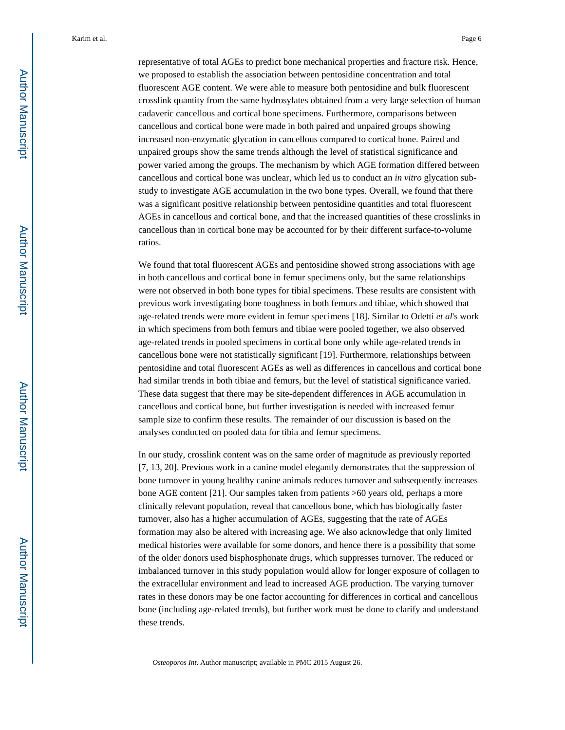representative of total AGEs to predict bone mechanical properties and fracture risk. Hence, we proposed to establish the association between pentosidine concentration and total fluorescent AGE content. We were able to measure both pentosidine and bulk fluorescent crosslink quantity from the same hydrosylates obtained from a very large selection of human cadaveric cancellous and cortical bone specimens. Furthermore, comparisons between cancellous and cortical bone were made in both paired and unpaired groups showing increased non-enzymatic glycation in cancellous compared to cortical bone. Paired and unpaired groups show the same trends although the level of statistical significance and power varied among the groups. The mechanism by which AGE formation differed between cancellous and cortical bone was unclear, which led us to conduct an *in vitro* glycation substudy to investigate AGE accumulation in the two bone types. Overall, we found that there was a significant positive relationship between pentosidine quantities and total fluorescent AGEs in cancellous and cortical bone, and that the increased quantities of these crosslinks in cancellous than in cortical bone may be accounted for by their different surface-to-volume ratios.

We found that total fluorescent AGEs and pentosidine showed strong associations with age in both cancellous and cortical bone in femur specimens only, but the same relationships were not observed in both bone types for tibial specimens. These results are consistent with previous work investigating bone toughness in both femurs and tibiae, which showed that age-related trends were more evident in femur specimens [18]. Similar to Odetti *et al*'s work in which specimens from both femurs and tibiae were pooled together, we also observed age-related trends in pooled specimens in cortical bone only while age-related trends in cancellous bone were not statistically significant [19]. Furthermore, relationships between pentosidine and total fluorescent AGEs as well as differences in cancellous and cortical bone had similar trends in both tibiae and femurs, but the level of statistical significance varied. These data suggest that there may be site-dependent differences in AGE accumulation in cancellous and cortical bone, but further investigation is needed with increased femur sample size to confirm these results. The remainder of our discussion is based on the analyses conducted on pooled data for tibia and femur specimens.

In our study, crosslink content was on the same order of magnitude as previously reported [7, 13, 20]. Previous work in a canine model elegantly demonstrates that the suppression of bone turnover in young healthy canine animals reduces turnover and subsequently increases bone AGE content [21]. Our samples taken from patients >60 years old, perhaps a more clinically relevant population, reveal that cancellous bone, which has biologically faster turnover, also has a higher accumulation of AGEs, suggesting that the rate of AGEs formation may also be altered with increasing age. We also acknowledge that only limited medical histories were available for some donors, and hence there is a possibility that some of the older donors used bisphosphonate drugs, which suppresses turnover. The reduced or imbalanced turnover in this study population would allow for longer exposure of collagen to the extracellular environment and lead to increased AGE production. The varying turnover rates in these donors may be one factor accounting for differences in cortical and cancellous bone (including age-related trends), but further work must be done to clarify and understand these trends.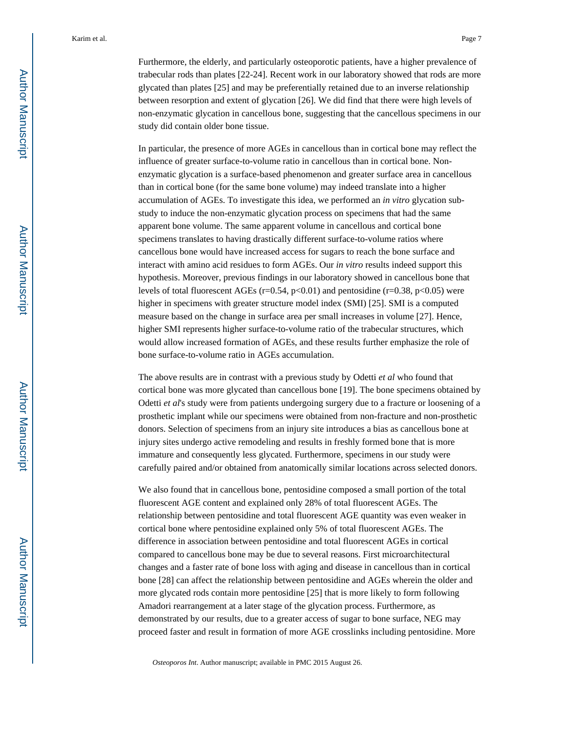Furthermore, the elderly, and particularly osteoporotic patients, have a higher prevalence of trabecular rods than plates [22-24]. Recent work in our laboratory showed that rods are more glycated than plates [25] and may be preferentially retained due to an inverse relationship between resorption and extent of glycation [26]. We did find that there were high levels of non-enzymatic glycation in cancellous bone, suggesting that the cancellous specimens in our study did contain older bone tissue.

In particular, the presence of more AGEs in cancellous than in cortical bone may reflect the influence of greater surface-to-volume ratio in cancellous than in cortical bone. Nonenzymatic glycation is a surface-based phenomenon and greater surface area in cancellous than in cortical bone (for the same bone volume) may indeed translate into a higher accumulation of AGEs. To investigate this idea, we performed an *in vitro* glycation substudy to induce the non-enzymatic glycation process on specimens that had the same apparent bone volume. The same apparent volume in cancellous and cortical bone specimens translates to having drastically different surface-to-volume ratios where cancellous bone would have increased access for sugars to reach the bone surface and interact with amino acid residues to form AGEs. Our *in vitro* results indeed support this hypothesis. Moreover, previous findings in our laboratory showed in cancellous bone that levels of total fluorescent AGEs (r=0.54, p<0.01) and pentosidine (r=0.38, p<0.05) were higher in specimens with greater structure model index (SMI) [25]. SMI is a computed measure based on the change in surface area per small increases in volume [27]. Hence, higher SMI represents higher surface-to-volume ratio of the trabecular structures, which would allow increased formation of AGEs, and these results further emphasize the role of bone surface-to-volume ratio in AGEs accumulation.

The above results are in contrast with a previous study by Odetti *et al* who found that cortical bone was more glycated than cancellous bone [19]. The bone specimens obtained by Odetti *et al*'s study were from patients undergoing surgery due to a fracture or loosening of a prosthetic implant while our specimens were obtained from non-fracture and non-prosthetic donors. Selection of specimens from an injury site introduces a bias as cancellous bone at injury sites undergo active remodeling and results in freshly formed bone that is more immature and consequently less glycated. Furthermore, specimens in our study were carefully paired and/or obtained from anatomically similar locations across selected donors.

We also found that in cancellous bone, pentosidine composed a small portion of the total fluorescent AGE content and explained only 28% of total fluorescent AGEs. The relationship between pentosidine and total fluorescent AGE quantity was even weaker in cortical bone where pentosidine explained only 5% of total fluorescent AGEs. The difference in association between pentosidine and total fluorescent AGEs in cortical compared to cancellous bone may be due to several reasons. First microarchitectural changes and a faster rate of bone loss with aging and disease in cancellous than in cortical bone [28] can affect the relationship between pentosidine and AGEs wherein the older and more glycated rods contain more pentosidine [25] that is more likely to form following Amadori rearrangement at a later stage of the glycation process. Furthermore, as demonstrated by our results, due to a greater access of sugar to bone surface, NEG may proceed faster and result in formation of more AGE crosslinks including pentosidine. More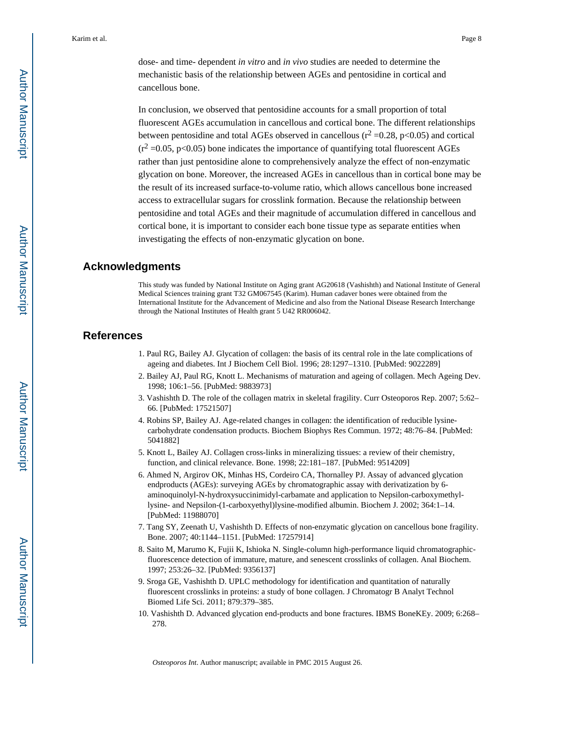dose- and time- dependent *in vitro* and *in vivo* studies are needed to determine the mechanistic basis of the relationship between AGEs and pentosidine in cortical and cancellous bone.

In conclusion, we observed that pentosidine accounts for a small proportion of total fluorescent AGEs accumulation in cancellous and cortical bone. The different relationships between pentosidine and total AGEs observed in cancellous ( $r^2$  =0.28, p<0.05) and cortical  $(r^2 = 0.05, p < 0.05)$  bone indicates the importance of quantifying total fluorescent AGEs rather than just pentosidine alone to comprehensively analyze the effect of non-enzymatic glycation on bone. Moreover, the increased AGEs in cancellous than in cortical bone may be the result of its increased surface-to-volume ratio, which allows cancellous bone increased access to extracellular sugars for crosslink formation. Because the relationship between pentosidine and total AGEs and their magnitude of accumulation differed in cancellous and cortical bone, it is important to consider each bone tissue type as separate entities when investigating the effects of non-enzymatic glycation on bone.

# **Acknowledgments**

This study was funded by National Institute on Aging grant AG20618 (Vashishth) and National Institute of General Medical Sciences training grant T32 GM067545 (Karim). Human cadaver bones were obtained from the International Institute for the Advancement of Medicine and also from the National Disease Research Interchange through the National Institutes of Health grant 5 U42 RR006042.

## **References**

- 1. Paul RG, Bailey AJ. Glycation of collagen: the basis of its central role in the late complications of ageing and diabetes. Int J Biochem Cell Biol. 1996; 28:1297–1310. [PubMed: 9022289]
- 2. Bailey AJ, Paul RG, Knott L. Mechanisms of maturation and ageing of collagen. Mech Ageing Dev. 1998; 106:1–56. [PubMed: 9883973]
- 3. Vashishth D. The role of the collagen matrix in skeletal fragility. Curr Osteoporos Rep. 2007; 5:62– 66. [PubMed: 17521507]
- 4. Robins SP, Bailey AJ. Age-related changes in collagen: the identification of reducible lysinecarbohydrate condensation products. Biochem Biophys Res Commun. 1972; 48:76–84. [PubMed: 5041882]
- 5. Knott L, Bailey AJ. Collagen cross-links in mineralizing tissues: a review of their chemistry, function, and clinical relevance. Bone. 1998; 22:181–187. [PubMed: 9514209]
- 6. Ahmed N, Argirov OK, Minhas HS, Cordeiro CA, Thornalley PJ. Assay of advanced glycation endproducts (AGEs): surveying AGEs by chromatographic assay with derivatization by 6 aminoquinolyl-N-hydroxysuccinimidyl-carbamate and application to Nepsilon-carboxymethyllysine- and Nepsilon-(1-carboxyethyl)lysine-modified albumin. Biochem J. 2002; 364:1–14. [PubMed: 11988070]
- 7. Tang SY, Zeenath U, Vashishth D. Effects of non-enzymatic glycation on cancellous bone fragility. Bone. 2007; 40:1144–1151. [PubMed: 17257914]
- 8. Saito M, Marumo K, Fujii K, Ishioka N. Single-column high-performance liquid chromatographicfluorescence detection of immature, mature, and senescent crosslinks of collagen. Anal Biochem. 1997; 253:26–32. [PubMed: 9356137]
- 9. Sroga GE, Vashishth D. UPLC methodology for identification and quantitation of naturally fluorescent crosslinks in proteins: a study of bone collagen. J Chromatogr B Analyt Technol Biomed Life Sci. 2011; 879:379–385.
- 10. Vashishth D. Advanced glycation end-products and bone fractures. IBMS BoneKEy. 2009; 6:268– 278.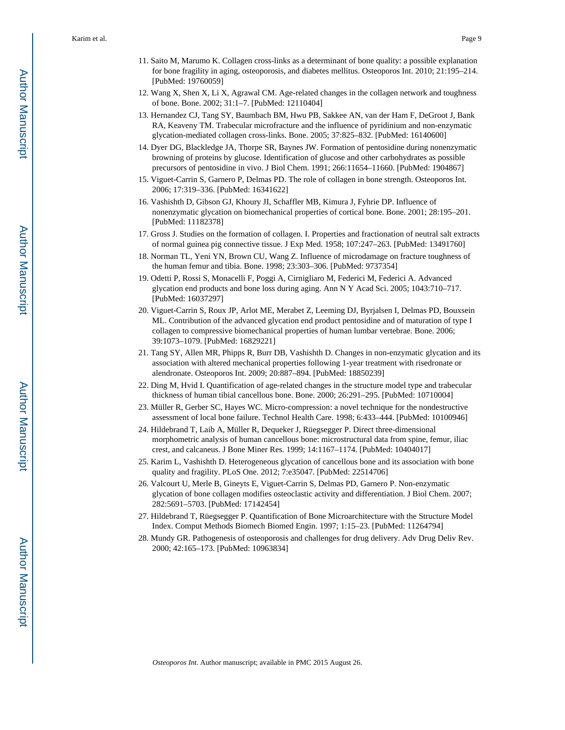- 11. Saito M, Marumo K. Collagen cross-links as a determinant of bone quality: a possible explanation for bone fragility in aging, osteoporosis, and diabetes mellitus. Osteoporos Int. 2010; 21:195–214. [PubMed: 19760059]
- 12. Wang X, Shen X, Li X, Agrawal CM. Age-related changes in the collagen network and toughness of bone. Bone. 2002; 31:1–7. [PubMed: 12110404]
- 13. Hernandez CJ, Tang SY, Baumbach BM, Hwu PB, Sakkee AN, van der Ham F, DeGroot J, Bank RA, Keaveny TM. Trabecular microfracture and the influence of pyridinium and non-enzymatic glycation-mediated collagen cross-links. Bone. 2005; 37:825–832. [PubMed: 16140600]
- 14. Dyer DG, Blackledge JA, Thorpe SR, Baynes JW. Formation of pentosidine during nonenzymatic browning of proteins by glucose. Identification of glucose and other carbohydrates as possible precursors of pentosidine in vivo. J Biol Chem. 1991; 266:11654–11660. [PubMed: 1904867]
- 15. Viguet-Carrin S, Garnero P, Delmas PD. The role of collagen in bone strength. Osteoporos Int. 2006; 17:319–336. [PubMed: 16341622]
- 16. Vashishth D, Gibson GJ, Khoury JI, Schaffler MB, Kimura J, Fyhrie DP. Influence of nonenzymatic glycation on biomechanical properties of cortical bone. Bone. 2001; 28:195–201. [PubMed: 11182378]
- 17. Gross J. Studies on the formation of collagen. I. Properties and fractionation of neutral salt extracts of normal guinea pig connective tissue. J Exp Med. 1958; 107:247–263. [PubMed: 13491760]
- 18. Norman TL, Yeni YN, Brown CU, Wang Z. Influence of microdamage on fracture toughness of the human femur and tibia. Bone. 1998; 23:303–306. [PubMed: 9737354]
- 19. Odetti P, Rossi S, Monacelli F, Poggi A, Cirnigliaro M, Federici M, Federici A. Advanced glycation end products and bone loss during aging. Ann N Y Acad Sci. 2005; 1043:710–717. [PubMed: 16037297]
- 20. Viguet-Carrin S, Roux JP, Arlot ME, Merabet Z, Leeming DJ, Byrjalsen I, Delmas PD, Bouxsein ML. Contribution of the advanced glycation end product pentosidine and of maturation of type I collagen to compressive biomechanical properties of human lumbar vertebrae. Bone. 2006; 39:1073–1079. [PubMed: 16829221]
- 21. Tang SY, Allen MR, Phipps R, Burr DB, Vashishth D. Changes in non-enzymatic glycation and its association with altered mechanical properties following 1-year treatment with risedronate or alendronate. Osteoporos Int. 2009; 20:887–894. [PubMed: 18850239]
- 22. Ding M, Hvid I. Quantification of age-related changes in the structure model type and trabecular thickness of human tibial cancellous bone. Bone. 2000; 26:291–295. [PubMed: 10710004]
- 23. Müller R, Gerber SC, Hayes WC. Micro-compression: a novel technique for the nondestructive assessment of local bone failure. Technol Health Care. 1998; 6:433–444. [PubMed: 10100946]
- 24. Hildebrand T, Laib A, Müller R, Dequeker J, Rüegsegger P. Direct three-dimensional morphometric analysis of human cancellous bone: microstructural data from spine, femur, iliac crest, and calcaneus. J Bone Miner Res. 1999; 14:1167–1174. [PubMed: 10404017]
- 25. Karim L, Vashishth D. Heterogeneous glycation of cancellous bone and its association with bone quality and fragility. PLoS One. 2012; 7:e35047. [PubMed: 22514706]
- 26. Valcourt U, Merle B, Gineyts E, Viguet-Carrin S, Delmas PD, Garnero P. Non-enzymatic glycation of bone collagen modifies osteoclastic activity and differentiation. J Biol Chem. 2007; 282:5691–5703. [PubMed: 17142454]
- 27. Hildebrand T, Rüegsegger P. Quantification of Bone Microarchitecture with the Structure Model Index. Comput Methods Biomech Biomed Engin. 1997; 1:15–23. [PubMed: 11264794]
- 28. Mundy GR. Pathogenesis of osteoporosis and challenges for drug delivery. Adv Drug Deliv Rev. 2000; 42:165–173. [PubMed: 10963834]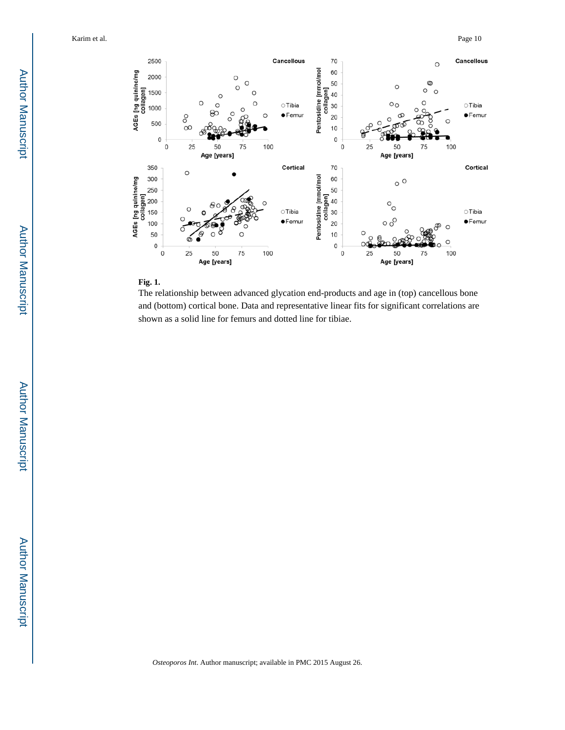



The relationship between advanced glycation end-products and age in (top) cancellous bone and (bottom) cortical bone. Data and representative linear fits for significant correlations are shown as a solid line for femurs and dotted line for tibiae.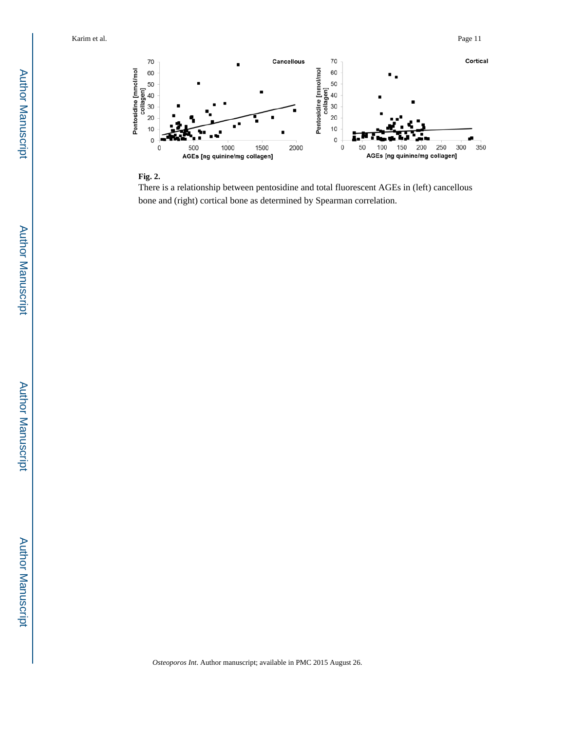

#### **Fig. 2.**

There is a relationship between pentosidine and total fluorescent AGEs in (left) cancellous bone and (right) cortical bone as determined by Spearman correlation.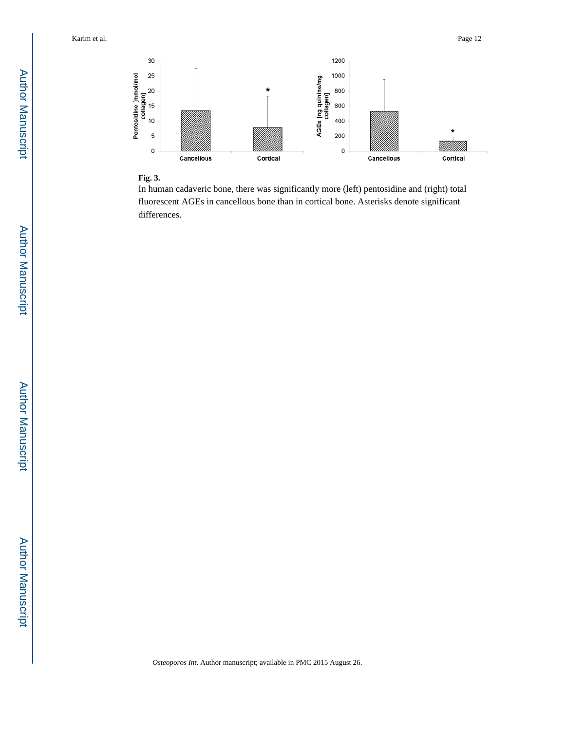

## **Fig. 3.**

In human cadaveric bone, there was significantly more (left) pentosidine and (right) total fluorescent AGEs in cancellous bone than in cortical bone. Asterisks denote significant differences.